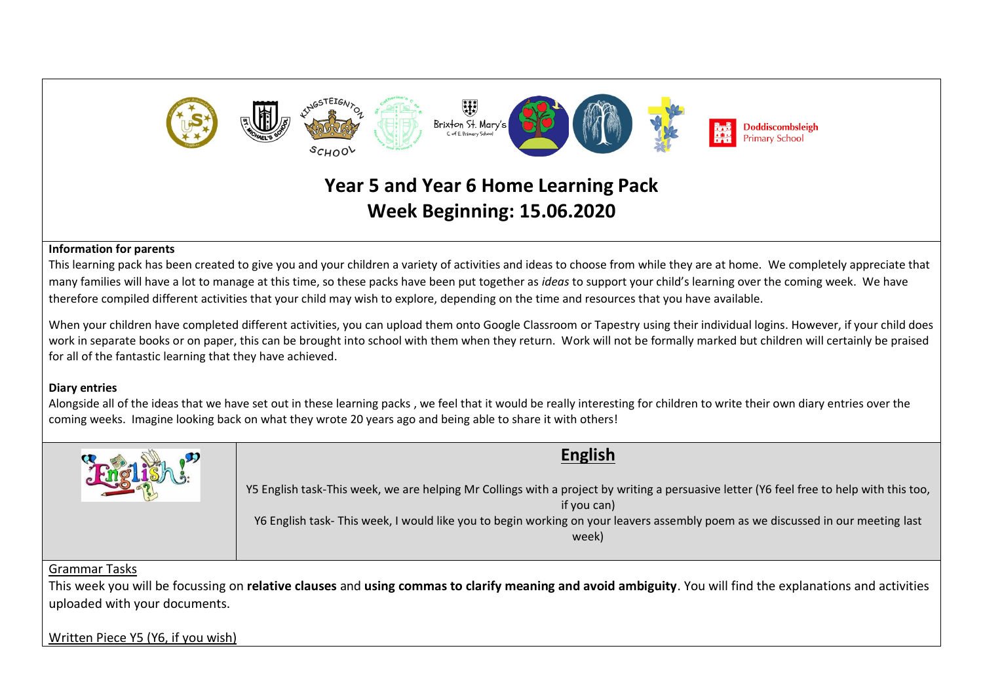

# **Year 5 and Year 6 Home Learning Pack Week Beginning: 15.06.2020**

### **Information for parents**

This learning pack has been created to give you and your children a variety of activities and ideas to choose from while they are at home. We completely appreciate that many families will have a lot to manage at this time, so these packs have been put together as *ideas* to support your child's learning over the coming week. We have therefore compiled different activities that your child may wish to explore, depending on the time and resources that you have available.

When your children have completed different activities, you can upload them onto Google Classroom or Tapestry using their individual logins. However, if your child does work in separate books or on paper, this can be brought into school with them when they return. Work will not be formally marked but children will certainly be praised for all of the fantastic learning that they have achieved.

# **Diary entries**

Alongside all of the ideas that we have set out in these learning packs , we feel that it would be really interesting for children to write their own diary entries over the coming weeks. Imagine looking back on what they wrote 20 years ago and being able to share it with others!



## Grammar Tasks

This week you will be focussing on **relative clauses** and **using commas to clarify meaning and avoid ambiguity**. You will find the explanations and activities uploaded with your documents.

Written Piece Y5 (Y6, if you wish)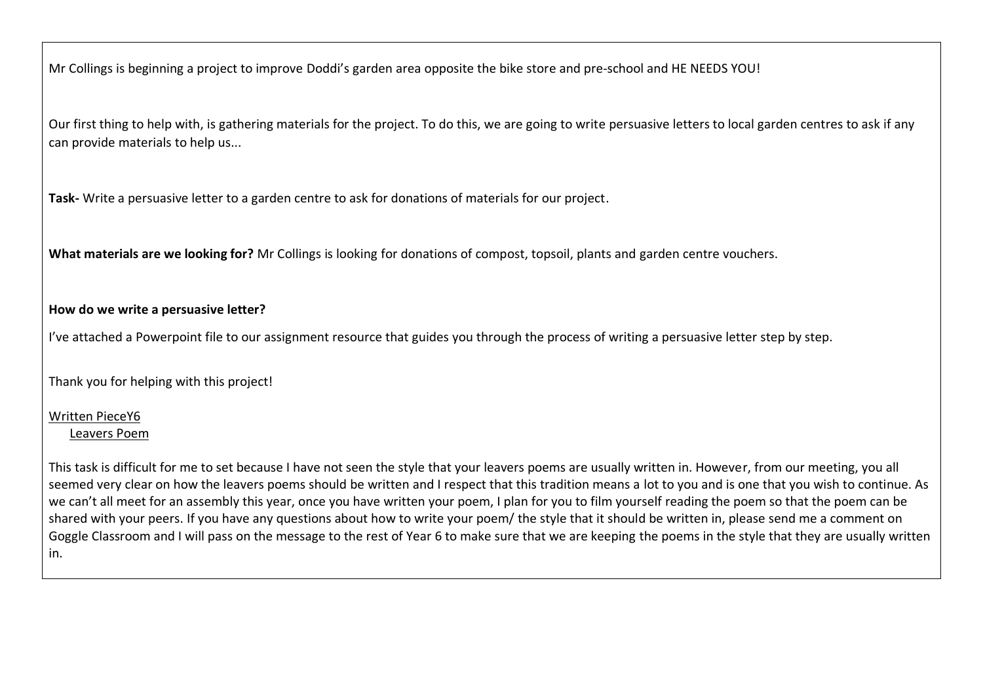Mr Collings is beginning a project to improve Doddi's garden area opposite the bike store and pre-school and HE NEEDS YOU!

Our first thing to help with, is gathering materials for the project. To do this, we are going to write persuasive letters to local garden centres to ask if any can provide materials to help us...

**Task-** Write a persuasive letter to a garden centre to ask for donations of materials for our project.

**What materials are we looking for?** Mr Collings is looking for donations of compost, topsoil, plants and garden centre vouchers.

# **How do we write a persuasive letter?**

I've attached a Powerpoint file to our assignment resource that guides you through the process of writing a persuasive letter step by step.

Thank you for helping with this project!

# Written PieceY6

## Leavers Poem

This task is difficult for me to set because I have not seen the style that your leavers poems are usually written in. However, from our meeting, you all seemed very clear on how the leavers poems should be written and I respect that this tradition means a lot to you and is one that you wish to continue. As we can't all meet for an assembly this year, once you have written your poem, I plan for you to film yourself reading the poem so that the poem can be shared with your peers. If you have any questions about how to write your poem/ the style that it should be written in, please send me a comment on Goggle Classroom and I will pass on the message to the rest of Year 6 to make sure that we are keeping the poems in the style that they are usually written in.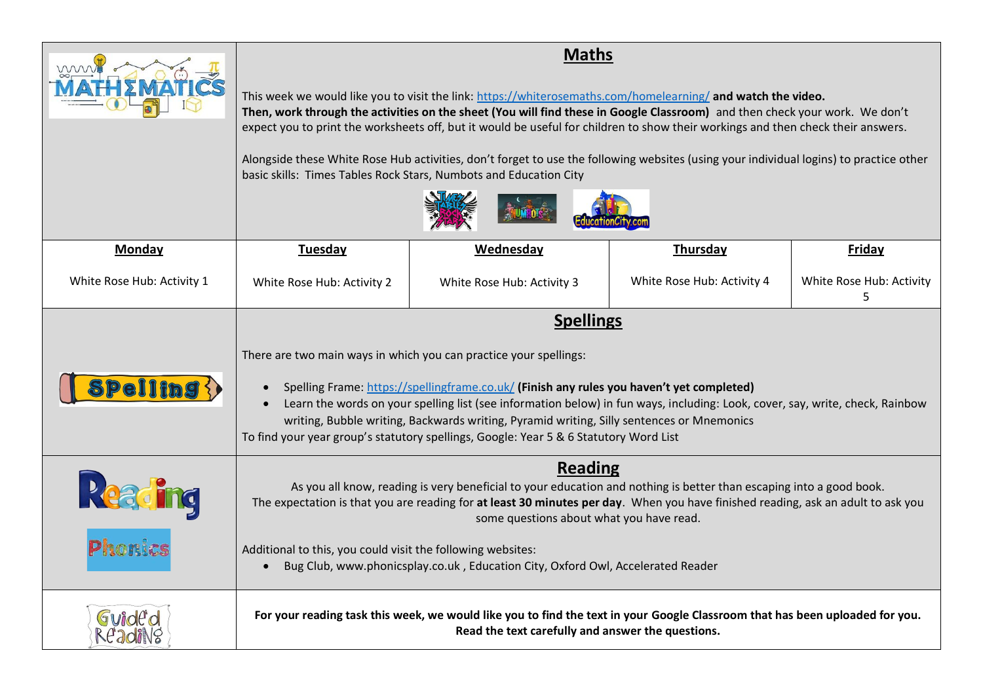| mm                                                                                     | <b>Maths</b><br>This week we would like you to visit the link: https://whiterosemaths.com/homelearning/ and watch the video.<br>Then, work through the activities on the sheet (You will find these in Google Classroom) and then check your work. We don't<br>expect you to print the worksheets off, but it would be useful for children to show their workings and then check their answers.<br>Alongside these White Rose Hub activities, don't forget to use the following websites (using your individual logins) to practice other<br>basic skills: Times Tables Rock Stars, Numbots and Education City |                            |                            |                               |
|----------------------------------------------------------------------------------------|----------------------------------------------------------------------------------------------------------------------------------------------------------------------------------------------------------------------------------------------------------------------------------------------------------------------------------------------------------------------------------------------------------------------------------------------------------------------------------------------------------------------------------------------------------------------------------------------------------------|----------------------------|----------------------------|-------------------------------|
|                                                                                        |                                                                                                                                                                                                                                                                                                                                                                                                                                                                                                                                                                                                                |                            |                            |                               |
| Monday                                                                                 | <b>Tuesday</b>                                                                                                                                                                                                                                                                                                                                                                                                                                                                                                                                                                                                 | Wednesday                  | Thursday                   | <b>Friday</b>                 |
| White Rose Hub: Activity 1                                                             | White Rose Hub: Activity 2                                                                                                                                                                                                                                                                                                                                                                                                                                                                                                                                                                                     | White Rose Hub: Activity 3 | White Rose Hub: Activity 4 | White Rose Hub: Activity<br>5 |
|                                                                                        | <b>Spellings</b>                                                                                                                                                                                                                                                                                                                                                                                                                                                                                                                                                                                               |                            |                            |                               |
| $\textbf{S}\textbf{P}\textbf{ell}\textbf{ind}\{\textbf{S}^{\textbf{c}}_{\textbf{c}}\}$ | There are two main ways in which you can practice your spellings:<br>Spelling Frame: https://spellingframe.co.uk/ (Finish any rules you haven't yet completed)<br>$\bullet$<br>Learn the words on your spelling list (see information below) in fun ways, including: Look, cover, say, write, check, Rainbow<br>$\bullet$<br>writing, Bubble writing, Backwards writing, Pyramid writing, Silly sentences or Mnemonics<br>To find your year group's statutory spellings, Google: Year 5 & 6 Statutory Word List                                                                                                |                            |                            |                               |
| Reading                                                                                | Reading<br>As you all know, reading is very beneficial to your education and nothing is better than escaping into a good book.<br>The expectation is that you are reading for at least 30 minutes per day. When you have finished reading, ask an adult to ask you<br>some questions about what you have read.                                                                                                                                                                                                                                                                                                 |                            |                            |                               |
|                                                                                        | Additional to this, you could visit the following websites:<br>Bug Club, www.phonicsplay.co.uk, Education City, Oxford Owl, Accelerated Reader                                                                                                                                                                                                                                                                                                                                                                                                                                                                 |                            |                            |                               |
| Guide'd<br>ReadiNg                                                                     | For your reading task this week, we would like you to find the text in your Google Classroom that has been uploaded for you.<br>Read the text carefully and answer the questions.                                                                                                                                                                                                                                                                                                                                                                                                                              |                            |                            |                               |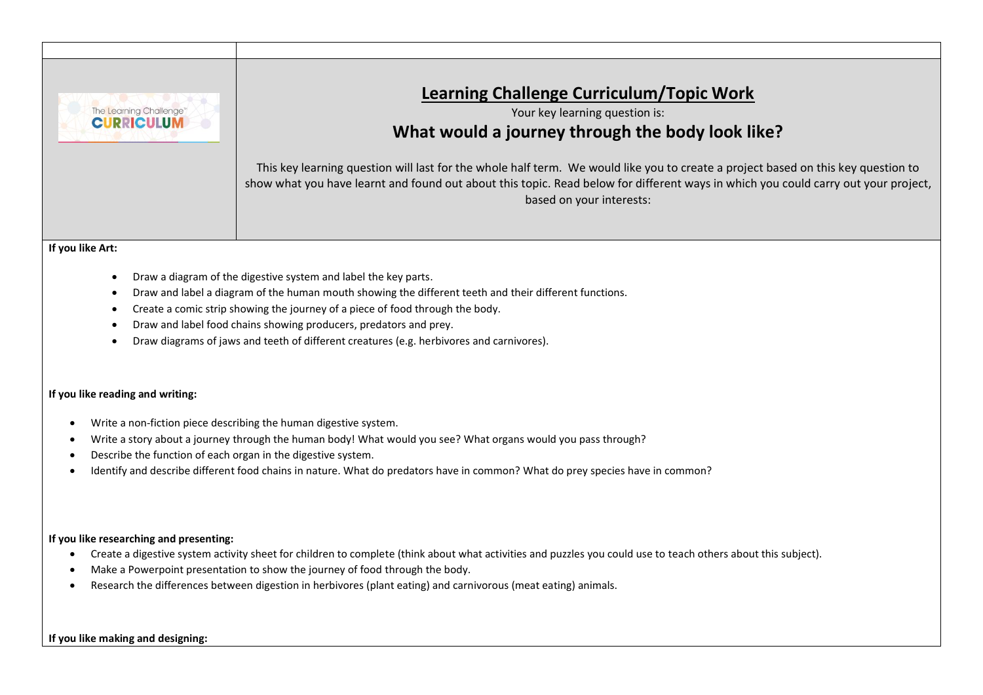

- Draw a diagram of the digestive system and label the key parts.
- Draw and label a diagram of the human mouth showing the different teeth and their different functions.
- Create a comic strip showing the journey of a piece of food through the body.
- Draw and label food chains showing producers, predators and prey.
- Draw diagrams of jaws and teeth of different creatures (e.g. herbivores and carnivores).

#### **If you like reading and writing:**

- Write a non-fiction piece describing the human digestive system.
- Write a story about a journey through the human body! What would you see? What organs would you pass through?
- Describe the function of each organ in the digestive system.
- Identify and describe different food chains in nature. What do predators have in common? What do prey species have in common?

#### **If you like researching and presenting:**

- Create a digestive system activity sheet for children to complete (think about what activities and puzzles you could use to teach others about this subject).
- Make a Powerpoint presentation to show the journey of food through the body.
- Research the differences between digestion in herbivores (plant eating) and carnivorous (meat eating) animals.

#### **If you like making and designing:**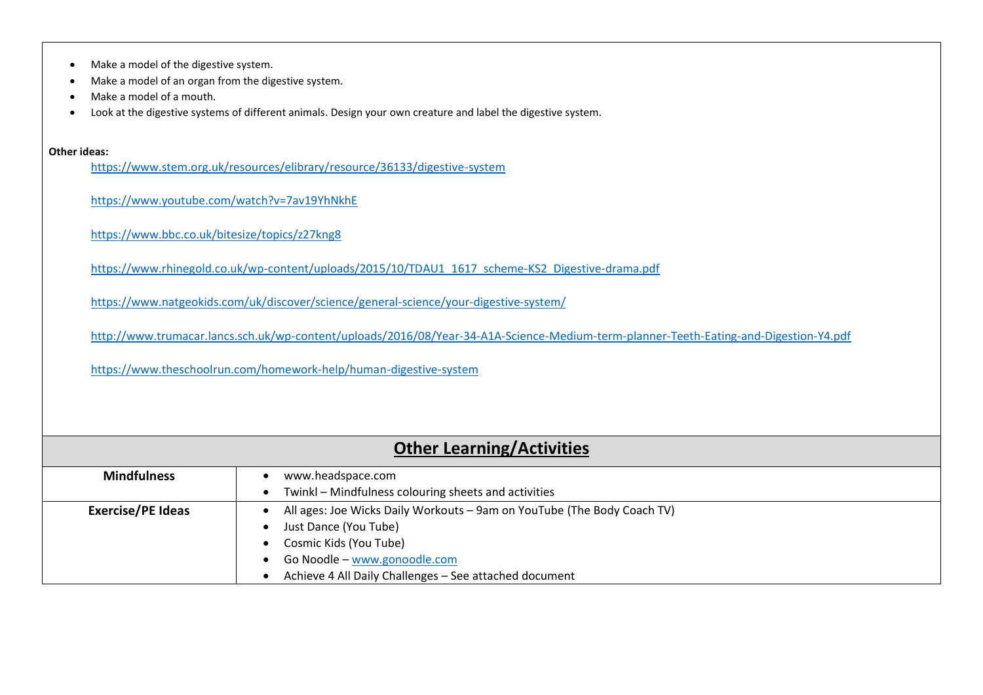|  | Make a model of the digestive system. |  |
|--|---------------------------------------|--|
|--|---------------------------------------|--|

- Make a model of an organ from the digestive system.
- Make a model of a mouth.
- Look at the digestive systems of different animals. Design your own creature and label the digestive system.

#### **Other ideas:**

<https://www.stem.org.uk/resources/elibrary/resource/36133/digestive-system>

<https://www.youtube.com/watch?v=7av19YhNkhE>

<https://www.bbc.co.uk/bitesize/topics/z27kng8>

[https://www.rhinegold.co.uk/wp-content/uploads/2015/10/TDAU1\\_1617\\_scheme-KS2\\_Digestive-drama.pdf](https://www.rhinegold.co.uk/wp-content/uploads/2015/10/TDAU1_1617_scheme-KS2_Digestive-drama.pdf)

<https://www.natgeokids.com/uk/discover/science/general-science/your-digestive-system/>

<http://www.trumacar.lancs.sch.uk/wp-content/uploads/2016/08/Year-34-A1A-Science-Medium-term-planner-Teeth-Eating-and-Digestion-Y4.pdf>

<https://www.theschoolrun.com/homework-help/human-digestive-system>

| <b>Other Learning/Activities</b> |                                                                         |  |
|----------------------------------|-------------------------------------------------------------------------|--|
| <b>Mindfulness</b>               | www.headspace.com                                                       |  |
|                                  | Twinkl – Mindfulness colouring sheets and activities                    |  |
| <b>Exercise/PE Ideas</b>         | All ages: Joe Wicks Daily Workouts - 9am on YouTube (The Body Coach TV) |  |
|                                  | Just Dance (You Tube)                                                   |  |
|                                  | Cosmic Kids (You Tube)                                                  |  |
|                                  | Go Noodle - www.gonoodle.com                                            |  |
|                                  | Achieve 4 All Daily Challenges - See attached document                  |  |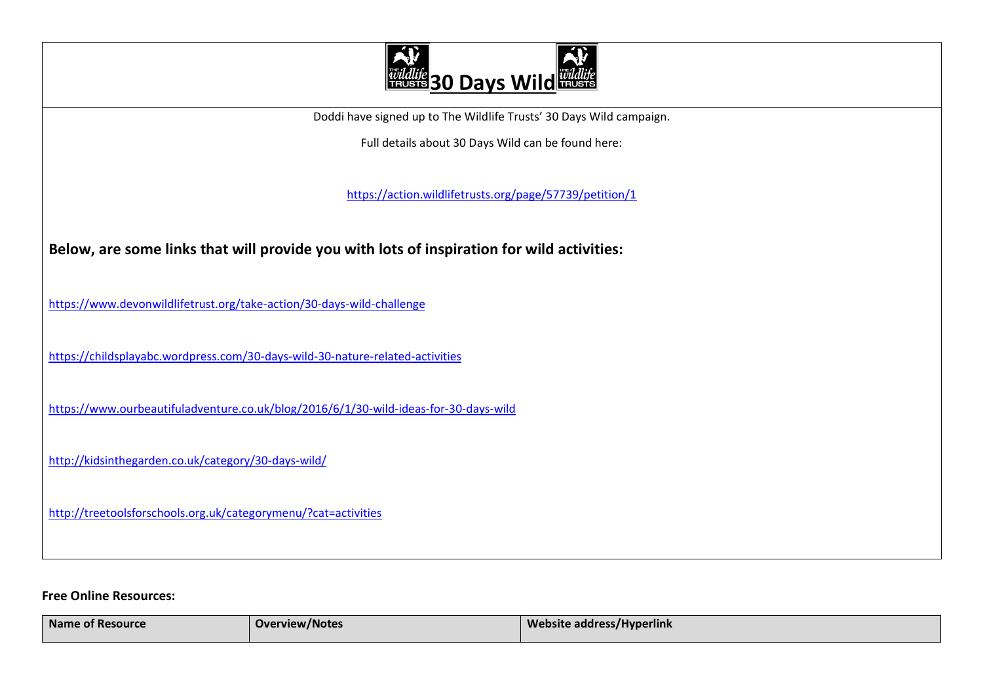

Doddi have signed up to The Wildlife Trusts' 30 Days Wild campaign.

Full details about 30 Days Wild can be found here:

<https://action.wildlifetrusts.org/page/57739/petition/1>

**Below, are some links that will provide you with lots of inspiration for wild activities:**

<https://www.devonwildlifetrust.org/take-action/30-days-wild-challenge>

<https://childsplayabc.wordpress.com/30-days-wild-30-nature-related-activities>

<https://www.ourbeautifuladventure.co.uk/blog/2016/6/1/30-wild-ideas-for-30-days-wild>

<http://kidsinthegarden.co.uk/category/30-days-wild/>

<http://treetoolsforschools.org.uk/categorymenu/?cat=activities>

## **Free Online Resources:**

| <b>Name</b><br>of Resource ! | <b>Overview/Notes</b> | Website address/Hyperlink<br><b>STATE OF STATE OF STATE OF STATE OF STATE OF STATE OF STATE OF STATE OF STATE OF STATE OF STATE OF STATE OF S</b> |
|------------------------------|-----------------------|---------------------------------------------------------------------------------------------------------------------------------------------------|
|                              |                       |                                                                                                                                                   |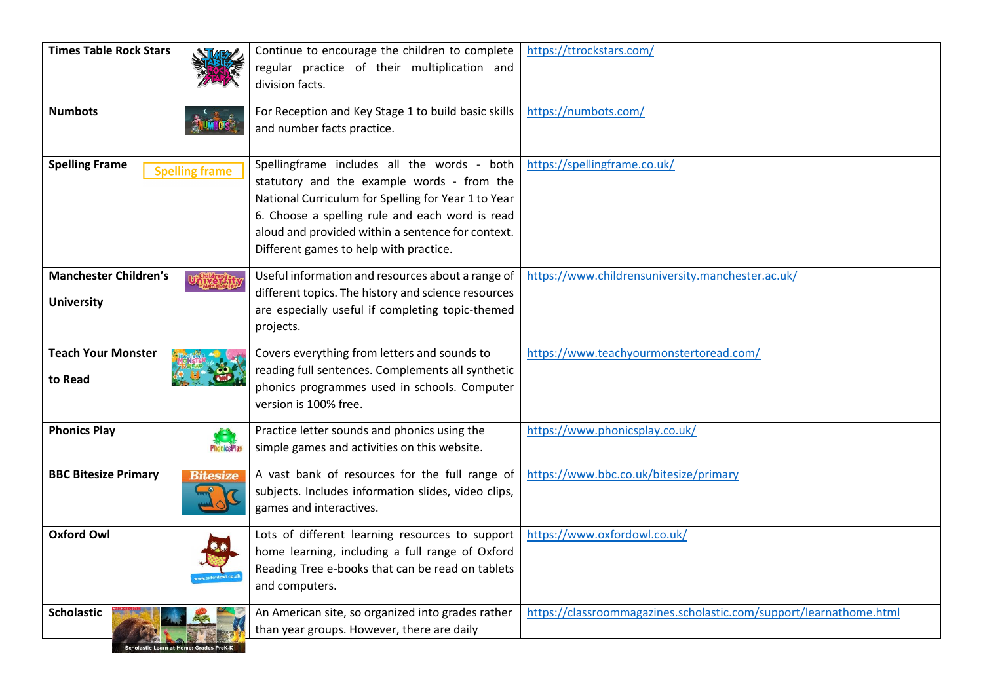| <b>Times Table Rock Stars</b>                  | Continue to encourage the children to complete      | https://ttrockstars.com/                                           |
|------------------------------------------------|-----------------------------------------------------|--------------------------------------------------------------------|
|                                                | regular practice of their multiplication and        |                                                                    |
|                                                | division facts.                                     |                                                                    |
| <b>Numbots</b>                                 | For Reception and Key Stage 1 to build basic skills | https://numbots.com/                                               |
|                                                | and number facts practice.                          |                                                                    |
|                                                |                                                     |                                                                    |
| <b>Spelling Frame</b>                          | Spellingframe includes all the words - both         | https://spellingframe.co.uk/                                       |
| <b>Spelling frame</b>                          | statutory and the example words - from the          |                                                                    |
|                                                | National Curriculum for Spelling for Year 1 to Year |                                                                    |
|                                                | 6. Choose a spelling rule and each word is read     |                                                                    |
|                                                | aloud and provided within a sentence for context.   |                                                                    |
|                                                | Different games to help with practice.              |                                                                    |
| <b>Manchester Children's</b>                   | Useful information and resources about a range of   | https://www.childrensuniversity.manchester.ac.uk/                  |
|                                                | different topics. The history and science resources |                                                                    |
| <b>University</b>                              | are especially useful if completing topic-themed    |                                                                    |
|                                                | projects.                                           |                                                                    |
|                                                |                                                     |                                                                    |
| <b>Teach Your Monster</b>                      | Covers everything from letters and sounds to        | https://www.teachyourmonstertoread.com/                            |
| to Read                                        | reading full sentences. Complements all synthetic   |                                                                    |
|                                                | phonics programmes used in schools. Computer        |                                                                    |
|                                                | version is 100% free.                               |                                                                    |
| <b>Phonics Play</b>                            | Practice letter sounds and phonics using the        | https://www.phonicsplay.co.uk/                                     |
| <b>PhonicsPlay</b>                             | simple games and activities on this website.        |                                                                    |
|                                                |                                                     |                                                                    |
| <b>BBC Bitesize Primary</b><br><b>Bitesize</b> | A vast bank of resources for the full range of      | https://www.bbc.co.uk/bitesize/primary                             |
|                                                | subjects. Includes information slides, video clips, |                                                                    |
|                                                | games and interactives.                             |                                                                    |
| <b>Oxford Owl</b>                              | Lots of different learning resources to support     | https://www.oxfordowl.co.uk/                                       |
|                                                | home learning, including a full range of Oxford     |                                                                    |
| ww.oxfordowl.co.                               | Reading Tree e-books that can be read on tablets    |                                                                    |
|                                                | and computers.                                      |                                                                    |
| <b>Scholastic</b>                              | An American site, so organized into grades rather   | https://classroommagazines.scholastic.com/support/learnathome.html |
|                                                | than year groups. However, there are daily          |                                                                    |
| Scholastic Learn at Home: Grades PreK-K        |                                                     |                                                                    |
|                                                |                                                     |                                                                    |